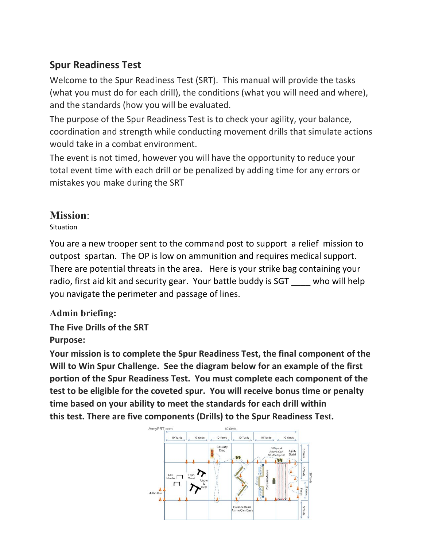## **Spur Readiness Test**

Welcome to the Spur Readiness Test (SRT). This manual will provide the tasks (what you must do for each drill), the conditions (what you will need and where), and the standards (how you will be evaluated.

The purpose of the Spur Readiness Test is to check your agility, your balance, coordination and strength while conducting movement drills that simulate actions would take in a combat environment.

The event is not timed, however you will have the opportunity to reduce your total event time with each drill or be penalized by adding time for any errors or mistakes you make during the SRT

# **Mission**:

Situation

You are a new trooper sent to the command post to support a relief mission to outpost spartan. The OP is low on ammunition and requires medical support. There are potential threats in the area. Here is your strike bag containing your radio, first aid kit and security gear. Your battle buddy is SGT who will help you navigate the perimeter and passage of lines.

## **Admin briefing:**

**The Five Drills of the SRT Purpose:** 

**Your mission is to complete the Spur Readiness Test, the final component of the Will to Win Spur Challenge. See the diagram below for an example of the first portion of the Spur Readiness Test. You must complete each component of the test to be eligible for the coveted spur. You will receive bonus time or penalty time based on your ability to meet the standards for each drill within this test. There are five components (Drills) to the Spur Readiness Test.**

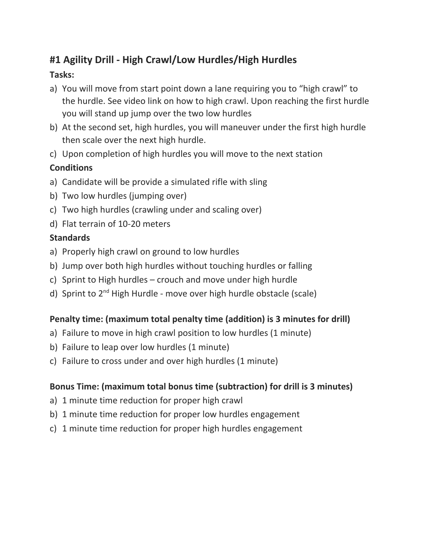# **#1 Agility Drill - High Crawl/Low Hurdles/High Hurdles**

### **Tasks:**

- a) You will move from start point down a lane requiring you to "high crawl" to the hurdle. See video link on how to high crawl. Upon reaching the first hurdle you will stand up jump over the two low hurdles
- b) At the second set, high hurdles, you will maneuver under the first high hurdle then scale over the next high hurdle.
- c) Upon completion of high hurdles you will move to the next station

## **Conditions**

- a) Candidate will be provide a simulated rifle with sling
- b) Two low hurdles (jumping over)
- c) Two high hurdles (crawling under and scaling over)
- d) Flat terrain of 10-20 meters

## **Standards**

- a) Properly high crawl on ground to low hurdles
- b) Jump over both high hurdles without touching hurdles or falling
- c) Sprint to High hurdles crouch and move under high hurdle
- d) Sprint to 2<sup>nd</sup> High Hurdle move over high hurdle obstacle (scale)

## **Penalty time: (maximum total penalty time (addition) is 3 minutes for drill)**

- a) Failure to move in high crawl position to low hurdles (1 minute)
- b) Failure to leap over low hurdles (1 minute)
- c) Failure to cross under and over high hurdles (1 minute)

## **Bonus Time: (maximum total bonus time (subtraction) for drill is 3 minutes)**

- a) 1 minute time reduction for proper high crawl
- b) 1 minute time reduction for proper low hurdles engagement
- c) 1 minute time reduction for proper high hurdles engagement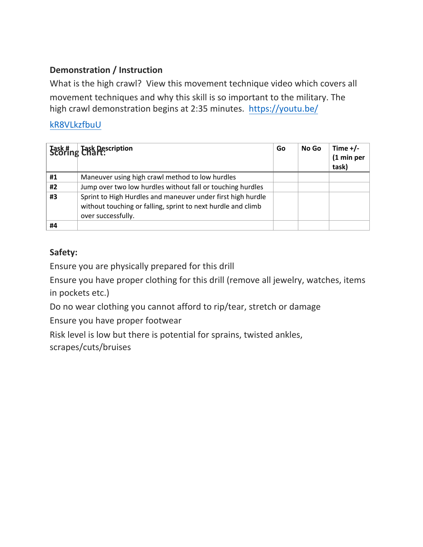### **Demonstration / Instruction**

What is the high crawl? View this movement technique video which covers all movement techniques and why this skill is so important to the military. The [high crawl demonstration begins at 2:35 minutes. https://youtu.be/](https://youtu.be/kR8VLkzfbuU)

### kR8VLkzfbuU

|    | Task #   Task Description<br>Scoring Chart:                                                                                                       | Go | No Go | Time $+/-$<br>(1 min per<br>task) |
|----|---------------------------------------------------------------------------------------------------------------------------------------------------|----|-------|-----------------------------------|
| #1 | Maneuver using high crawl method to low hurdles                                                                                                   |    |       |                                   |
| #2 | Jump over two low hurdles without fall or touching hurdles                                                                                        |    |       |                                   |
| #3 | Sprint to High Hurdles and maneuver under first high hurdle<br>without touching or falling, sprint to next hurdle and climb<br>over successfully. |    |       |                                   |
| #4 |                                                                                                                                                   |    |       |                                   |

## **Safety:**

Ensure you are physically prepared for this drill

Ensure you have proper clothing for this drill (remove all jewelry, watches, items in pockets etc.)

Do no wear clothing you cannot afford to rip/tear, stretch or damage

Ensure you have proper footwear

Risk level is low but there is potential for sprains, twisted ankles, scrapes/cuts/bruises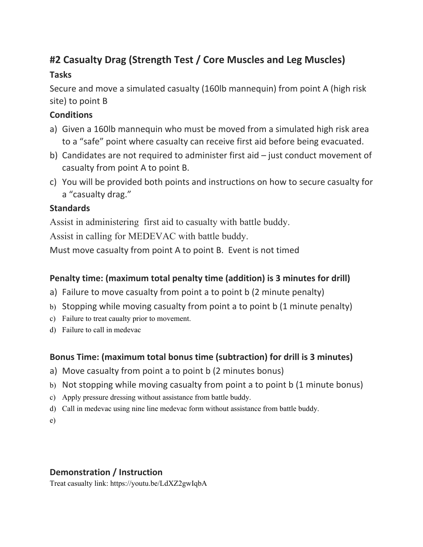# **#2 Casualty Drag (Strength Test / Core Muscles and Leg Muscles)**

### **Tasks**

Secure and move a simulated casualty (160lb mannequin) from point A (high risk site) to point B

### **Conditions**

- a) Given a 160lb mannequin who must be moved from a simulated high risk area to a "safe" point where casualty can receive first aid before being evacuated.
- b) Candidates are not required to administer first aid just conduct movement of casualty from point A to point B.
- c) You will be provided both points and instructions on how to secure casualty for a "casualty drag."

## **Standards**

Assist in administering first aid to casualty with battle buddy.

Assist in calling for MEDEVAC with battle buddy.

Must move casualty from point A to point B. Event is not timed

## **Penalty time: (maximum total penalty time (addition) is 3 minutes for drill)**

- a) Failure to move casualty from point a to point b (2 minute penalty)
- b) Stopping while moving casualty from point a to point b (1 minute penalty)
- c) Failure to treat caualty prior to movement.
- d) Failure to call in medevac

## **Bonus Time: (maximum total bonus time (subtraction) for drill is 3 minutes)**

- a) Move casualty from point a to point b (2 minutes bonus)
- b) Not stopping while moving casualty from point a to point b (1 minute bonus)
- c) Apply pressure dressing without assistance from battle buddy.
- d) Call in medevac using nine line medevac form without assistance from battle buddy.
- e)

## **Demonstration / Instruction**

Treat casualty link: https://youtu.be/LdXZ2gwIqbA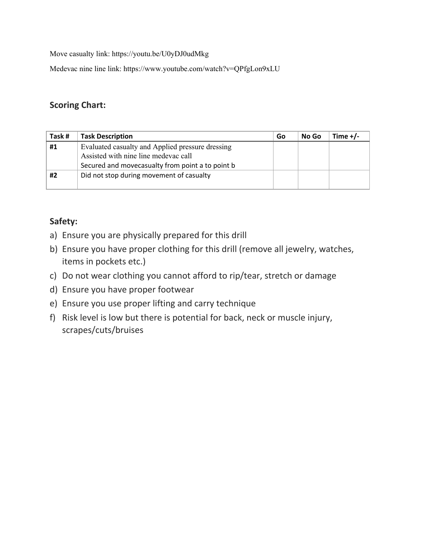Move casualty link: https://youtu.be/U0yDJ0udMkg

Medevac nine line link: https://www.youtube.com/watch?v=QPfgLon9xLU

#### **Scoring Chart:**

| Task # | <b>Task Description</b>                          | Go | No Go | Time $+/-$ |
|--------|--------------------------------------------------|----|-------|------------|
| #1     | Evaluated casualty and Applied pressure dressing |    |       |            |
|        | Assisted with nine line medevac call             |    |       |            |
|        | Secured and movecasualty from point a to point b |    |       |            |
| #2     | Did not stop during movement of casualty         |    |       |            |
|        |                                                  |    |       |            |

#### **Safety:**

- a) Ensure you are physically prepared for this drill
- b) Ensure you have proper clothing for this drill (remove all jewelry, watches, items in pockets etc.)
- c) Do not wear clothing you cannot afford to rip/tear, stretch or damage
- d) Ensure you have proper footwear
- e) Ensure you use proper lifting and carry technique
- f) Risk level is low but there is potential for back, neck or muscle injury, scrapes/cuts/bruises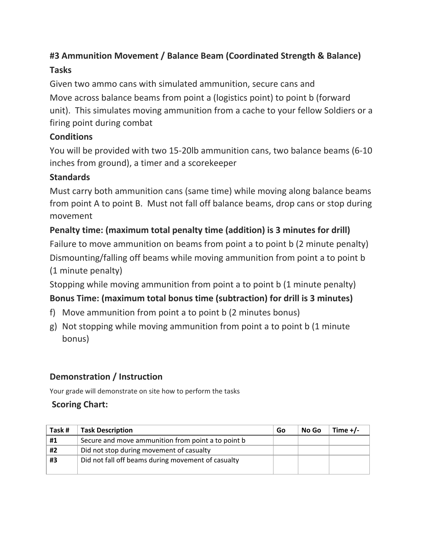# **#3 Ammunition Movement / Balance Beam (Coordinated Strength & Balance) Tasks**

Given two ammo cans with simulated ammunition, secure cans and Move across balance beams from point a (logistics point) to point b (forward unit). This simulates moving ammunition from a cache to your fellow Soldiers or a firing point during combat

## **Conditions**

You will be provided with two 15-20lb ammunition cans, two balance beams (6-10 inches from ground), a timer and a scorekeeper

## **Standards**

Must carry both ammunition cans (same time) while moving along balance beams from point A to point B. Must not fall off balance beams, drop cans or stop during movement

## **Penalty time: (maximum total penalty time (addition) is 3 minutes for drill)**

Failure to move ammunition on beams from point a to point b (2 minute penalty) Dismounting/falling off beams while moving ammunition from point a to point b (1 minute penalty)

Stopping while moving ammunition from point a to point b (1 minute penalty)

## **Bonus Time: (maximum total bonus time (subtraction) for drill is 3 minutes)**

- f) Move ammunition from point a to point b (2 minutes bonus)
- g) Not stopping while moving ammunition from point a to point b (1 minute bonus)

## **Demonstration / Instruction**

Your grade will demonstrate on site how to perform the tasks

## **Scoring Chart:**

| Task# | <b>Task Description</b>                            | Go | No Go | Time $+/-$ |
|-------|----------------------------------------------------|----|-------|------------|
| #1    | Secure and move ammunition from point a to point b |    |       |            |
| #2    | Did not stop during movement of casualty           |    |       |            |
| #3    | Did not fall off beams during movement of casualty |    |       |            |
|       |                                                    |    |       |            |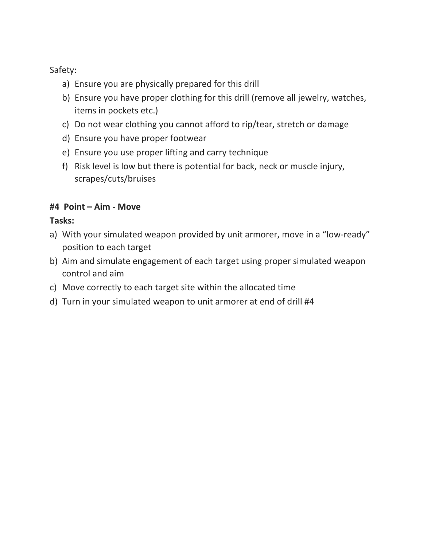Safety:

- a) Ensure you are physically prepared for this drill
- b) Ensure you have proper clothing for this drill (remove all jewelry, watches, items in pockets etc.)
- c) Do not wear clothing you cannot afford to rip/tear, stretch or damage
- d) Ensure you have proper footwear
- e) Ensure you use proper lifting and carry technique
- f) Risk level is low but there is potential for back, neck or muscle injury, scrapes/cuts/bruises

### **#4 Point – Aim - Move**

### **Tasks:**

- a) With your simulated weapon provided by unit armorer, move in a "low-ready" position to each target
- b) Aim and simulate engagement of each target using proper simulated weapon control and aim
- c) Move correctly to each target site within the allocated time
- d) Turn in your simulated weapon to unit armorer at end of drill #4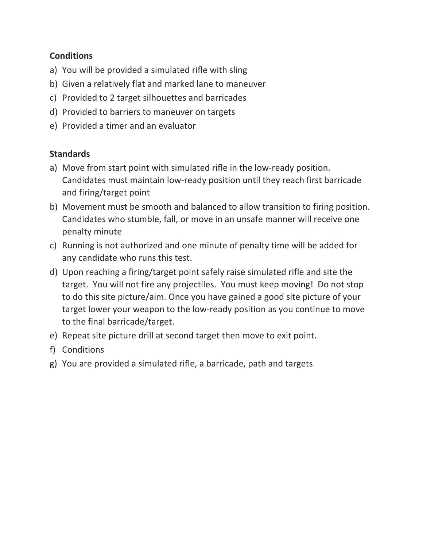#### **Conditions**

- a) You will be provided a simulated rifle with sling
- b) Given a relatively flat and marked lane to maneuver
- c) Provided to 2 target silhouettes and barricades
- d) Provided to barriers to maneuver on targets
- e) Provided a timer and an evaluator

### **Standards**

- a) Move from start point with simulated rifle in the low-ready position. Candidates must maintain low-ready position until they reach first barricade and firing/target point
- b) Movement must be smooth and balanced to allow transition to firing position. Candidates who stumble, fall, or move in an unsafe manner will receive one penalty minute
- c) Running is not authorized and one minute of penalty time will be added for any candidate who runs this test.
- d) Upon reaching a firing/target point safely raise simulated rifle and site the target. You will not fire any projectiles. You must keep moving! Do not stop to do this site picture/aim. Once you have gained a good site picture of your target lower your weapon to the low-ready position as you continue to move to the final barricade/target.
- e) Repeat site picture drill at second target then move to exit point.
- f) Conditions
- g) You are provided a simulated rifle, a barricade, path and targets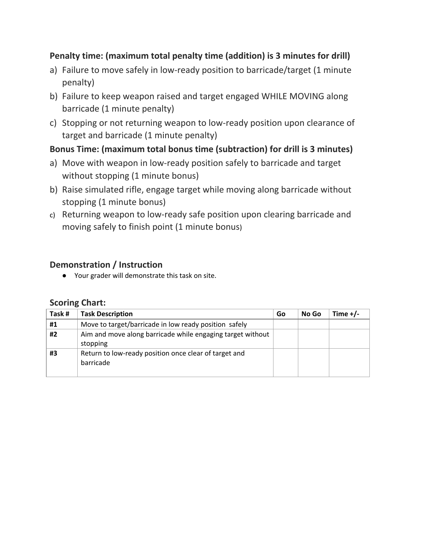### **Penalty time: (maximum total penalty time (addition) is 3 minutes for drill)**

- a) Failure to move safely in low-ready position to barricade/target (1 minute penalty)
- b) Failure to keep weapon raised and target engaged WHILE MOVING along barricade (1 minute penalty)
- c) Stopping or not returning weapon to low-ready position upon clearance of target and barricade (1 minute penalty)

### **Bonus Time: (maximum total bonus time (subtraction) for drill is 3 minutes)**

- a) Move with weapon in low-ready position safely to barricade and target without stopping (1 minute bonus)
- b) Raise simulated rifle, engage target while moving along barricade without stopping (1 minute bonus)
- c) Returning weapon to low-ready safe position upon clearing barricade and moving safely to finish point (1 minute bonus)

#### **Demonstration / Instruction**

● Your grader will demonstrate this task on site.

#### **Scoring Chart:**

| Task # | <b>Task Description</b>                                                | Go | No Go | Time $+/-$ |
|--------|------------------------------------------------------------------------|----|-------|------------|
| #1     | Move to target/barricade in low ready position safely                  |    |       |            |
| #2     | Aim and move along barricade while engaging target without<br>stopping |    |       |            |
| #3     | Return to low-ready position once clear of target and<br>barricade     |    |       |            |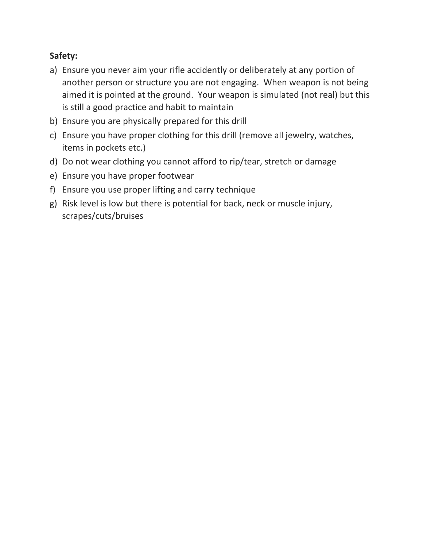## **Safety:**

- a) Ensure you never aim your rifle accidently or deliberately at any portion of another person or structure you are not engaging. When weapon is not being aimed it is pointed at the ground. Your weapon is simulated (not real) but this is still a good practice and habit to maintain
- b) Ensure you are physically prepared for this drill
- c) Ensure you have proper clothing for this drill (remove all jewelry, watches, items in pockets etc.)
- d) Do not wear clothing you cannot afford to rip/tear, stretch or damage
- e) Ensure you have proper footwear
- f) Ensure you use proper lifting and carry technique
- g) Risk level is low but there is potential for back, neck or muscle injury, scrapes/cuts/bruises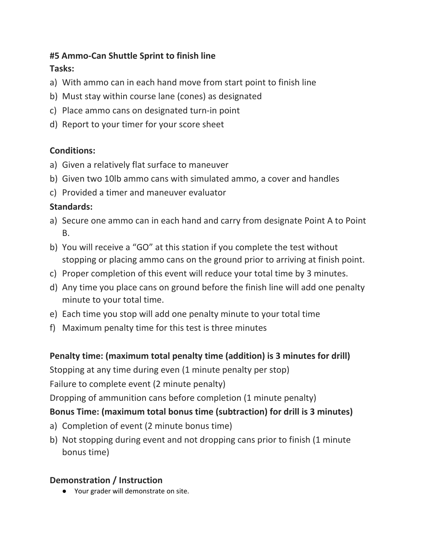#### **#5 Ammo-Can Shuttle Sprint to finish line Tasks:**

- a) With ammo can in each hand move from start point to finish line
- b) Must stay within course lane (cones) as designated
- c) Place ammo cans on designated turn-in point
- d) Report to your timer for your score sheet

## **Conditions:**

- a) Given a relatively flat surface to maneuver
- b) Given two 10lb ammo cans with simulated ammo, a cover and handles
- c) Provided a timer and maneuver evaluator

## **Standards:**

- a) Secure one ammo can in each hand and carry from designate Point A to Point B.
- b) You will receive a "GO" at this station if you complete the test without stopping or placing ammo cans on the ground prior to arriving at finish point.
- c) Proper completion of this event will reduce your total time by 3 minutes.
- d) Any time you place cans on ground before the finish line will add one penalty minute to your total time.
- e) Each time you stop will add one penalty minute to your total time
- f) Maximum penalty time for this test is three minutes

# **Penalty time: (maximum total penalty time (addition) is 3 minutes for drill)**

Stopping at any time during even (1 minute penalty per stop)

Failure to complete event (2 minute penalty)

Dropping of ammunition cans before completion (1 minute penalty)

## **Bonus Time: (maximum total bonus time (subtraction) for drill is 3 minutes)**

- a) Completion of event (2 minute bonus time)
- b) Not stopping during event and not dropping cans prior to finish (1 minute bonus time)

## **Demonstration / Instruction**

● Your grader will demonstrate on site.